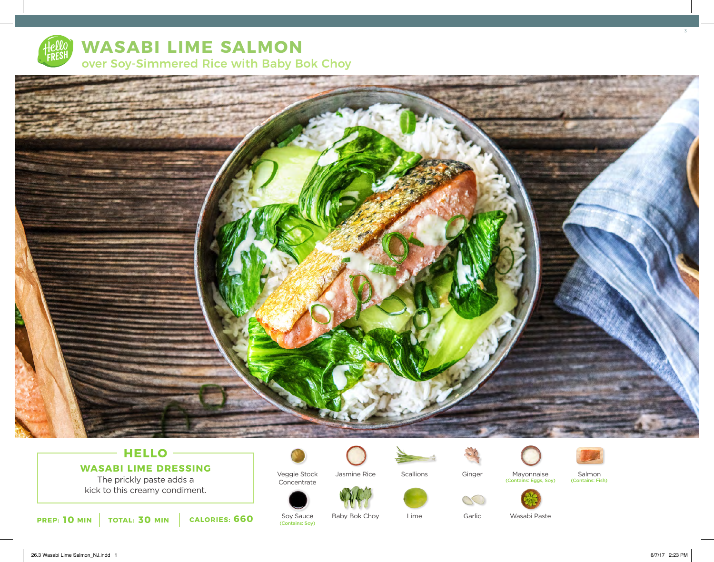

# **WASABI LIME SALMON** over Soy-Simmered Rice with Baby Bok Choy



# **HELLO WASABI LIME DRESSING**

The prickly paste adds a kick to this creamy condiment.



Veggie Stock Concentrate



**Scallions** 

Lime







Salmon<br>(Contains: Fish)



Mayonnaise (Contains: Eggs, Soy) (Contains: Fish)



**10 MIN TOTAL: 30 MIN CALORIES: 660** Solutions: Soy) Sauce

Soy Sauce<br>(Contains: Sov)

Baby Bok Choy

Garlic

Wasabi Paste

26.3 Wasabi Lime Salmon\_NJ.indd 1 6/7/17 2:23 PM

3